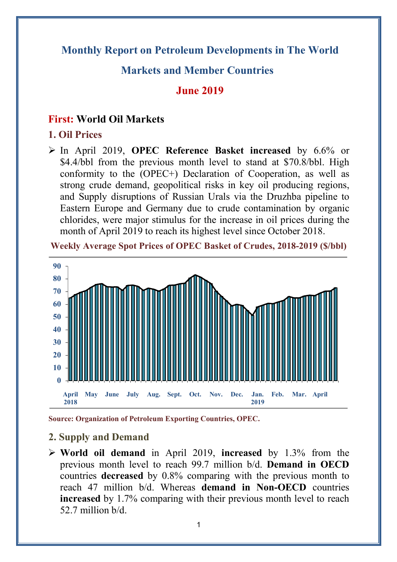## **Monthly Report on Petroleum Developments in The World**

### **Markets and Member Countries**

#### **June 2019**

#### **First: World Oil Markets**

#### **1. Oil Prices**

Ø In April 2019, **OPEC Reference Basket increased** by 6.6% or \$4.4/bbl from the previous month level to stand at \$70.8/bbl. High conformity to the (OPEC+) Declaration of Cooperation, as well as strong crude demand, geopolitical risks in key oil producing regions, and Supply disruptions of Russian Urals via the Druzhba pipeline to Eastern Europe and Germany due to crude contamination by organic chlorides, were major stimulus for the increase in oil prices during the month of April 2019 to reach its highest level since October 2018.

**Weekly Average Spot Prices of OPEC Basket of Crudes, 2018-2019 (\$/bbl)**



**Source: Organization of Petroleum Exporting Countries, OPEC.**

#### **2. Supply and Demand**

Ø **World oil demand** in April 2019, **increased** by 1.3% from the previous month level to reach 99.7 million b/d. **Demand in OECD** countries **decreased** by 0.8% comparing with the previous month to reach 47 million b/d. Whereas **demand in Non-OECD** countries **increased** by 1.7% comparing with their previous month level to reach 52.7 million b/d.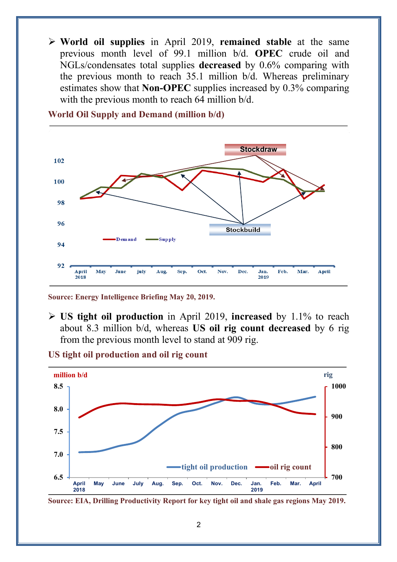Ø **World oil supplies** in April 2019, **remained stable** at the same previous month level of 99.1 million b/d. **OPEC** crude oil and NGLs/condensates total supplies **decreased** by 0.6% comparing with the previous month to reach 35.1 million b/d. Whereas preliminary estimates show that **Non-OPEC** supplies increased by 0.3% comparing with the previous month to reach 64 million  $b/d$ .



**World Oil Supply and Demand (million b/d)**

**Source: Energy Intelligence Briefing May 20, 2019.**

Ø **US tight oil production** in April 2019, **increased** by 1.1% to reach about 8.3 million b/d, whereas **US oil rig count decreased** by 6 rig from the previous month level to stand at 909 rig.

**US tight oil production and oil rig count**



**Source: EIA, Drilling Productivity Report for key tight oil and shale gas regions May 2019.**